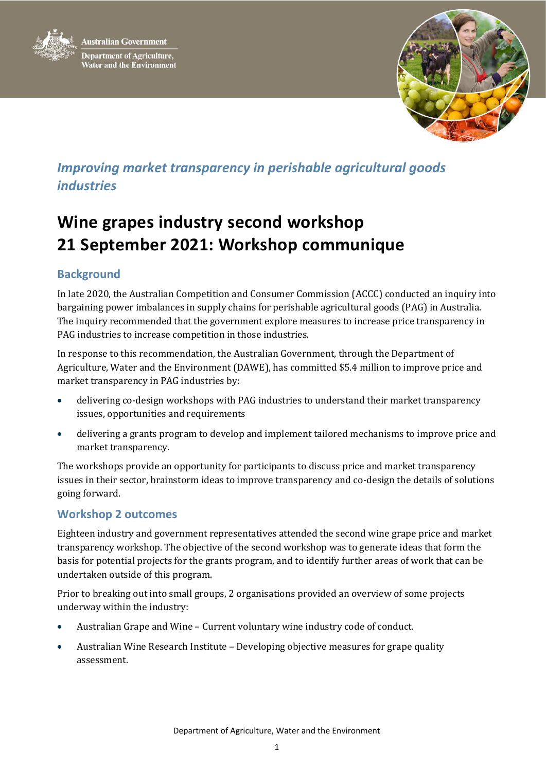



## *Improving market transparency in perishable agricultural goods industries*

# **Wine grapes industry second workshop 21 September 2021: Workshop communique**

### **Background**

In late 2020, the Australian Competition and Consumer Commission (ACCC) conducted an inquiry into bargaining power imbalances in supply chains for perishable agricultural goods (PAG) in Australia. The inquiry recommended that the government explore measures to increase price transparency in PAG industries to increase competition in those industries.

In response to this recommendation, the Australian Government, through the Department of Agriculture, Water and the Environment (DAWE), has committed \$5.4 million to improve price and market transparency in PAG industries by:

- delivering co-design workshops with PAG industries to understand their market transparency issues, opportunities and requirements
- delivering a grants program to develop and implement tailored mechanisms to improve price and market transparency.

The workshops provide an opportunity for participants to discuss price and market transparency issues in their sector, brainstorm ideas to improve transparency and co-design the details of solutions going forward.

#### **Workshop 2 outcomes**

Eighteen industry and government representatives attended the second wine grape price and market transparency workshop. The objective of the second workshop was to generate ideas that form the basis for potential projects for the grants program, and to identify further areas of work that can be undertaken outside of this program.

Prior to breaking out into small groups, 2 organisations provided an overview of some projects underway within the industry:

- Australian Grape and Wine Current voluntary wine industry code of conduct.
- Australian Wine Research Institute Developing objective measures for grape quality assessment.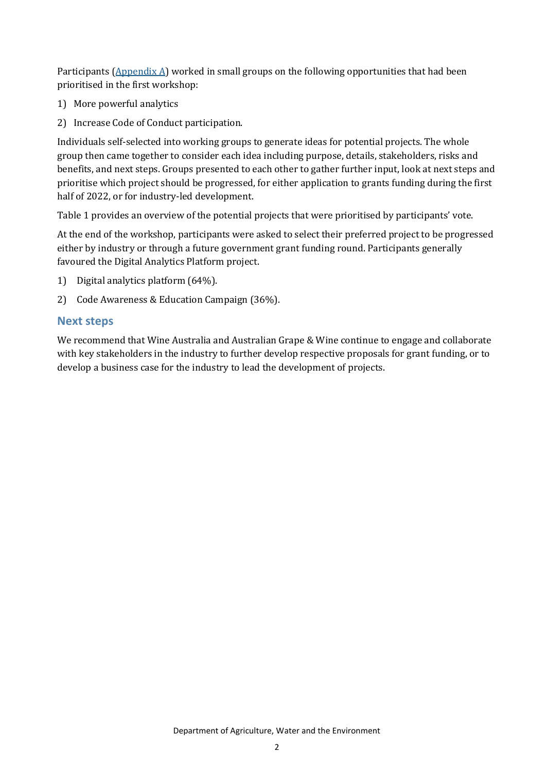Participants ( $\Delta$ ppendix  $\Delta$ ) worked in small groups on the following opportunities that had been prioritised in the first workshop:

- 1) More powerful analytics
- 2) Increase Code of Conduct participation.

Individuals self-selected into working groups to generate ideas for potential projects. The whole group then came together to consider each idea including purpose, details, stakeholders, risks and benefits, and next steps. Groups presented to each other to gather further input, look at next steps and prioritise which project should be progressed, for either application to grants funding during the first half of 2022, or for industry-led development.

Table 1 provides an overview of the potential projects that were prioritised by participants' vote.

At the end of the workshop, participants were asked to select their preferred project to be progressed either by industry or through a future government grant funding round. Participants generally favoured the Digital Analytics Platform project.

- 1) Digital analytics platform (64%).
- 2) Code Awareness & Education Campaign (36%).

#### **Next steps**

We recommend that Wine Australia and Australian Grape & Wine continue to engage and collaborate with key stakeholders in the industry to further develop respective proposals for grant funding, or to develop a business case for the industry to lead the development of projects.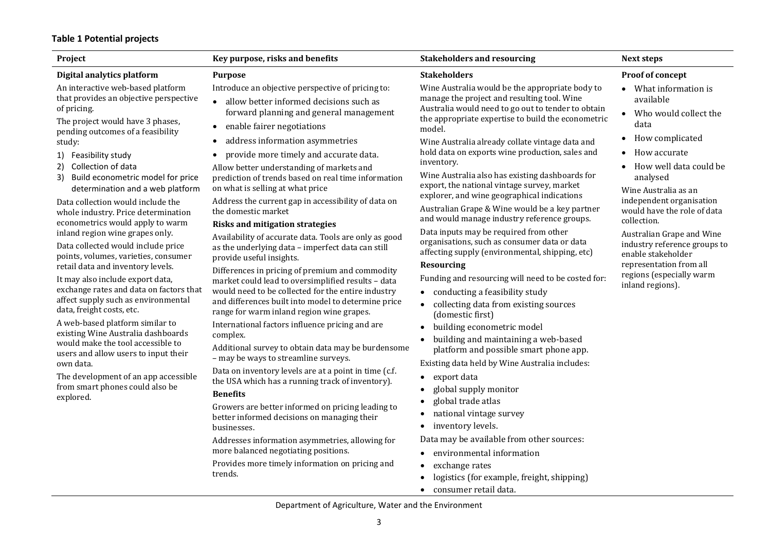#### **Table 1 Potential projects**

|                                                                                                                                                                                                                                                                                                                                                                                                                                                                                                                                                                                                                                                                                                                                                                                                                                                                                                                                                                                                                                                                                                                                                                                                                                                                                                                                                                                                                                                                                                                                                                                                                                                                                                                                                                                                                                                                                                                                                                                                                                                                                                                                                                                                                                                                                                                                                                                                                                                                                                                                                                                         | <b>Stakeholders and resourcing</b>                                                                                                                                                                                                                                                                                                                                                                                                                                                                                                                                                                                                                                                                                                                                                                                                                                                                                                                                                                                                                                                                                                                                                                                                                                                                                                                                                                                                        | <b>Next steps</b>                                                                                                                                                                                                                                                                                                                                                                                                                |
|-----------------------------------------------------------------------------------------------------------------------------------------------------------------------------------------------------------------------------------------------------------------------------------------------------------------------------------------------------------------------------------------------------------------------------------------------------------------------------------------------------------------------------------------------------------------------------------------------------------------------------------------------------------------------------------------------------------------------------------------------------------------------------------------------------------------------------------------------------------------------------------------------------------------------------------------------------------------------------------------------------------------------------------------------------------------------------------------------------------------------------------------------------------------------------------------------------------------------------------------------------------------------------------------------------------------------------------------------------------------------------------------------------------------------------------------------------------------------------------------------------------------------------------------------------------------------------------------------------------------------------------------------------------------------------------------------------------------------------------------------------------------------------------------------------------------------------------------------------------------------------------------------------------------------------------------------------------------------------------------------------------------------------------------------------------------------------------------------------------------------------------------------------------------------------------------------------------------------------------------------------------------------------------------------------------------------------------------------------------------------------------------------------------------------------------------------------------------------------------------------------------------------------------------------------------------------------------------|-------------------------------------------------------------------------------------------------------------------------------------------------------------------------------------------------------------------------------------------------------------------------------------------------------------------------------------------------------------------------------------------------------------------------------------------------------------------------------------------------------------------------------------------------------------------------------------------------------------------------------------------------------------------------------------------------------------------------------------------------------------------------------------------------------------------------------------------------------------------------------------------------------------------------------------------------------------------------------------------------------------------------------------------------------------------------------------------------------------------------------------------------------------------------------------------------------------------------------------------------------------------------------------------------------------------------------------------------------------------------------------------------------------------------------------------|----------------------------------------------------------------------------------------------------------------------------------------------------------------------------------------------------------------------------------------------------------------------------------------------------------------------------------------------------------------------------------------------------------------------------------|
| Digital analytics platform<br><b>Purpose</b><br>An interactive web-based platform<br>Introduce an objective perspective of pricing to:<br>that provides an objective perspective<br>allow better informed decisions such as<br>$\bullet$<br>of pricing.<br>forward planning and general management<br>The project would have 3 phases,<br>enable fairer negotiations<br>$\bullet$<br>pending outcomes of a feasibility<br>address information asymmetries<br>study:<br>provide more timely and accurate data.<br>1) Feasibility study<br>Collection of data<br>2)<br>Allow better understanding of markets and<br>3) Build econometric model for price<br>prediction of trends based on real time information<br>on what is selling at what price<br>determination and a web platform<br>Address the current gap in accessibility of data on<br>Data collection would include the<br>the domestic market<br>whole industry. Price determination<br>econometrics would apply to warm<br><b>Risks and mitigation strategies</b><br>inland region wine grapes only.<br>Availability of accurate data. Tools are only as good<br>Data collected would include price<br>as the underlying data - imperfect data can still<br>points, volumes, varieties, consumer<br>provide useful insights.<br>retail data and inventory levels.<br>Differences in pricing of premium and commodity<br>It may also include export data,<br>market could lead to oversimplified results - data<br>exchange rates and data on factors that<br>would need to be collected for the entire industry<br>affect supply such as environmental<br>and differences built into model to determine price<br>data, freight costs, etc.<br>range for warm inland region wine grapes.<br>A web-based platform similar to<br>International factors influence pricing and are<br>existing Wine Australia dashboards<br>complex.<br>would make the tool accessible to<br>Additional survey to obtain data may be burdensome<br>users and allow users to input their<br>- may be ways to streamline surveys.<br>own data.<br>Data on inventory levels are at a point in time (c.f.<br>The development of an app accessible<br>the USA which has a running track of inventory).<br>from smart phones could also be<br><b>Benefits</b><br>explored.<br>Growers are better informed on pricing leading to<br>better informed decisions on managing their<br>businesses.<br>Addresses information asymmetries, allowing for<br>more balanced negotiating positions.<br>Provides more timely information on pricing and<br>trends. | <b>Stakeholders</b><br>Wine Australia would be the appropriate body to<br>manage the project and resulting tool. Wine<br>Australia would need to go out to tender to obtain<br>the appropriate expertise to build the econometric<br>model.<br>Wine Australia already collate vintage data and<br>hold data on exports wine production, sales and<br>inventory.<br>Wine Australia also has existing dashboards for<br>export, the national vintage survey, market<br>explorer, and wine geographical indications<br>Australian Grape & Wine would be a key partner<br>and would manage industry reference groups.<br>Data inputs may be required from other<br>organisations, such as consumer data or data<br>affecting supply (environmental, shipping, etc)<br><b>Resourcing</b><br>Funding and resourcing will need to be costed for:<br>• conducting a feasibility study<br>collecting data from existing sources<br>(domestic first)<br>· building econometric model<br>building and maintaining a web-based<br>$\bullet$<br>platform and possible smart phone app.<br>Existing data held by Wine Australia includes:<br>export data<br>$\bullet$<br>global supply monitor<br>global trade atlas<br>national vintage survey<br>$\bullet$<br>• inventory levels.<br>Data may be available from other sources:<br>environmental information<br>$\bullet$<br>exchange rates<br>$\bullet$<br>logistics (for example, freight, shipping) | Proof of concept<br>• What information is<br>available<br>Who would collect the<br>data<br>How complicated<br>How accurate<br>How well data could be<br>analysed<br>Wine Australia as an<br>independent organisation<br>would have the role of data<br>collection.<br>Australian Grape and Wine<br>industry reference groups to<br>enable stakeholder<br>representation from all<br>regions (especially warm<br>inland regions). |

Department of Agriculture, Water and the Environment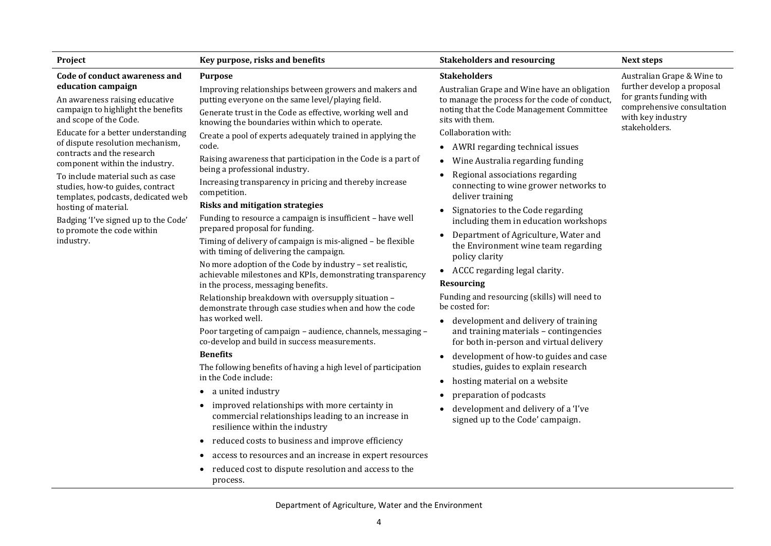| Project                                                                                                                                                                                                                                                                                                                                                                                                                                                                                                                 | Key purpose, risks and benefits                                                                                                                                                                                                                                                                                                                                                                                                                                                                                                                                                                                                                                                                                                                                                                                                                                                                                                                                                                                                                                                                                                                                                                                                                                                                                                                                                                                                                                                                                                                                                                                                                                                                  | <b>Stakeholders and resourcing</b>                                                                                                                                                                                                                                                                                                                                                                                                                                                                                                                                                                                                                                                                                                                                                                                                                                                                                                                                                                                                                                                                         | <b>Next steps</b>                                                                                                                                       |
|-------------------------------------------------------------------------------------------------------------------------------------------------------------------------------------------------------------------------------------------------------------------------------------------------------------------------------------------------------------------------------------------------------------------------------------------------------------------------------------------------------------------------|--------------------------------------------------------------------------------------------------------------------------------------------------------------------------------------------------------------------------------------------------------------------------------------------------------------------------------------------------------------------------------------------------------------------------------------------------------------------------------------------------------------------------------------------------------------------------------------------------------------------------------------------------------------------------------------------------------------------------------------------------------------------------------------------------------------------------------------------------------------------------------------------------------------------------------------------------------------------------------------------------------------------------------------------------------------------------------------------------------------------------------------------------------------------------------------------------------------------------------------------------------------------------------------------------------------------------------------------------------------------------------------------------------------------------------------------------------------------------------------------------------------------------------------------------------------------------------------------------------------------------------------------------------------------------------------------------|------------------------------------------------------------------------------------------------------------------------------------------------------------------------------------------------------------------------------------------------------------------------------------------------------------------------------------------------------------------------------------------------------------------------------------------------------------------------------------------------------------------------------------------------------------------------------------------------------------------------------------------------------------------------------------------------------------------------------------------------------------------------------------------------------------------------------------------------------------------------------------------------------------------------------------------------------------------------------------------------------------------------------------------------------------------------------------------------------------|---------------------------------------------------------------------------------------------------------------------------------------------------------|
| Code of conduct awareness and<br>education campaign<br>An awareness raising educative<br>campaign to highlight the benefits<br>and scope of the Code.<br>Educate for a better understanding<br>of dispute resolution mechanism,<br>contracts and the research<br>component within the industry.<br>To include material such as case<br>studies, how-to guides, contract<br>templates, podcasts, dedicated web<br>hosting of material.<br>Badging 'I've signed up to the Code<br>to promote the code within<br>industry. | <b>Purpose</b><br>Improving relationships between growers and makers and<br>putting everyone on the same level/playing field.<br>Generate trust in the Code as effective, working well and<br>knowing the boundaries within which to operate.<br>Create a pool of experts adequately trained in applying the<br>code.<br>Raising awareness that participation in the Code is a part of<br>being a professional industry.<br>Increasing transparency in pricing and thereby increase<br>competition.<br><b>Risks and mitigation strategies</b><br>Funding to resource a campaign is insufficient - have well<br>prepared proposal for funding.<br>Timing of delivery of campaign is mis-aligned - be flexible<br>with timing of delivering the campaign.<br>No more adoption of the Code by industry - set realistic,<br>achievable milestones and KPIs, demonstrating transparency<br>in the process, messaging benefits.<br>Relationship breakdown with oversupply situation -<br>demonstrate through case studies when and how the code<br>has worked well.<br>Poor targeting of campaign - audience, channels, messaging -<br>co-develop and build in success measurements.<br><b>Benefits</b><br>The following benefits of having a high level of participation<br>in the Code include:<br>a united industry<br>$\bullet$<br>improved relationships with more certainty in<br>$\bullet$<br>commercial relationships leading to an increase in<br>resilience within the industry<br>reduced costs to business and improve efficiency<br>$\bullet$<br>access to resources and an increase in expert resources<br>reduced cost to dispute resolution and access to the<br>$\bullet$<br>process. | <b>Stakeholders</b><br>Australian Grape and Wine have an obligation<br>to manage the process for the code of conduct,<br>noting that the Code Management Committee<br>sits with them.<br>Collaboration with:<br>AWRI regarding technical issues<br>$\bullet$<br>Wine Australia regarding funding<br>$\bullet$<br>Regional associations regarding<br>connecting to wine grower networks to<br>deliver training<br>Signatories to the Code regarding<br>including them in education workshops<br>Department of Agriculture, Water and<br>the Environment wine team regarding<br>policy clarity<br>• ACCC regarding legal clarity.<br>Resourcing<br>Funding and resourcing (skills) will need to<br>be costed for:<br>development and delivery of training<br>$\bullet$<br>and training materials - contingencies<br>for both in-person and virtual delivery<br>development of how-to guides and case<br>$\bullet$<br>studies, guides to explain research<br>hosting material on a website<br>$\bullet$<br>preparation of podcasts<br>development and delivery of a 'I've<br>signed up to the Code' campaign. | Australian Grape & Wine to<br>further develop a proposal<br>for grants funding with<br>comprehensive consultation<br>with key industry<br>stakeholders. |

Department of Agriculture, Water and the Environment